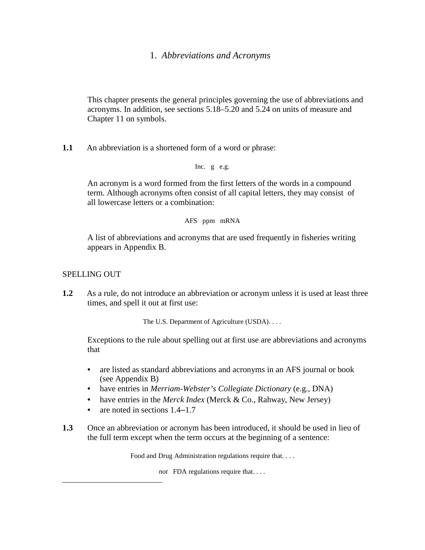# 1. *Abbreviations and Acronyms*

This chapter presents the general principles governing the use of abbreviations and acronyms. In addition, see sections 5.18–5.20 and 5.24 on units of measure and Chapter 11 on symbols.

**1.1** An abbreviation is a shortened form of a word or phrase:

Inc. g e.g.

An acronym is a word formed from the first letters of the words in a compound term. Although acronyms often consist of all capital letters, they may consist of all lowercase letters or a combination:

#### AFS ppm mRNA

A list of abbreviations and acronyms that are used frequently in fisheries writing appears in Appendix B.

## SPELLING OUT

**1.2** As a rule, do not introduce an abbreviation or acronym unless it is used at least three times, and spell it out at first use:

The U.S. Department of Agriculture (USDA). . . .

Exceptions to the rule about spelling out at first use are abbreviations and acronyms that

- are listed as standard abbreviations and acronyms in an AFS journal or book (see Appendix B)
- have entries in *Merriam-Webster's Collegiate Dictionary* (e.g., DNA)
- have entries in the *Merck Index* (Merck & Co., Rahway, New Jersey)
- are noted in sections  $1.4-1.7$
- **1.3** Once an abbreviation or acronym has been introduced, it should be used in lieu of the full term except when the term occurs at the beginning of a sentence:

Food and Drug Administration regulations require that. . . .

*not* FDA regulations require that. . . .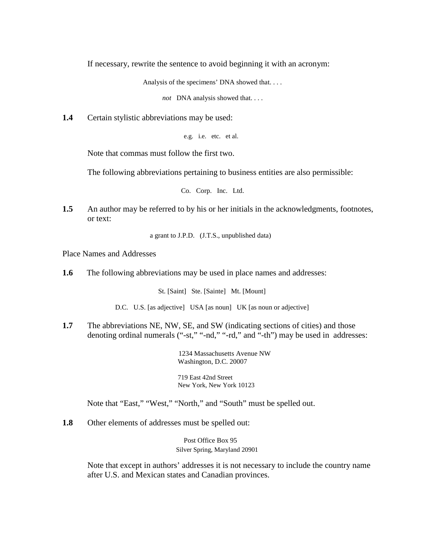If necessary, rewrite the sentence to avoid beginning it with an acronym:

Analysis of the specimens' DNA showed that. . . .

*not* DNA analysis showed that. . . .

**1.4** Certain stylistic abbreviations may be used:

```
e.g. i.e. etc. et al.
```
Note that commas must follow the first two.

The following abbreviations pertaining to business entities are also permissible:

Co. Corp. Inc. Ltd.

**1.5** An author may be referred to by his or her initials in the acknowledgments, footnotes, or text:

a grant to J.P.D. (J.T.S., unpublished data)

Place Names and Addresses

**1.6** The following abbreviations may be used in place names and addresses:

St. [Saint] Ste. [Sainte] Mt. [Mount]

D.C. U.S. [as adjective] USA [as noun] UK [as noun or adjective]

**1.7** The abbreviations NE, NW, SE, and SW (indicating sections of cities) and those denoting ordinal numerals ("-st," "-nd," "-rd," and "-th") may be used in addresses:

> 1234 Massachusetts Avenue NW Washington, D.C. 20007

719 East 42nd Street New York, New York 10123

Note that "East," "West," "North," and "South" must be spelled out.

**1.8** Other elements of addresses must be spelled out:

Post Office Box 95 Silver Spring, Maryland 20901

Note that except in authors' addresses it is not necessary to include the country name after U.S. and Mexican states and Canadian provinces.